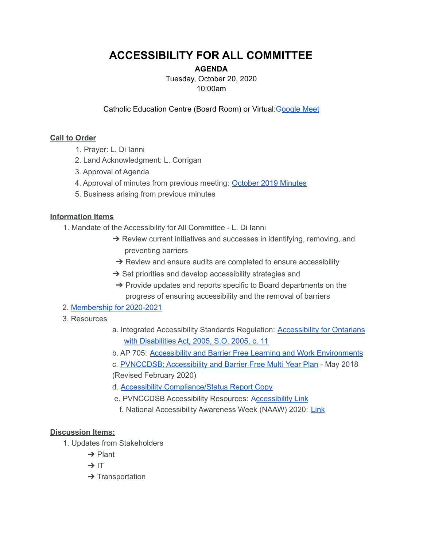# **ACCESSIBILITY FOR ALL COMMITTEE**

## **AGENDA**

Tuesday, October 20, 2020 10:00am

Catholic Education Centre (Board Room) or Virtual: Google Meet

#### **Call to Order**

- 1. Prayer: L. Di Ianni
- 2. Land Acknowledgment: L. Corrigan
- 3. Approval of Agenda
- 4. Approval of minutes from previous meeting: October 2019 Minutes
- 5. Business arising from previous minutes

### **Information Items**

1. Mandate of the Accessibility for All Committee - L. Di Ianni

- → Review current initiatives and successes in identifying, removing, and preventing barriers
- → Review and ensure audits are completed to ensure accessibility
- $\rightarrow$  Set priorities and develop accessibility strategies and
- ➔ Provide updates and reports specific to Board departments on the progress of ensuring accessibility and the removal of barriers

### 2. Membership for 2020-2021

- 3. Resources
- a. Integrated Accessibility Standards Regulation: Accessibility for Ontarians with Disabilities Act, 2005, S.O. 2005, c. 11
- b. AP 705: Accessibility and Barrier Free Learning and Work Environments
- c. PVNCCDSB: Accessibility and Barrier Free Multi Year Plan May 2018
- (Revised February 2020)
- d. Accessibility Compliance/Status Report Copy
- e. PVNCCDSB Accessibility Resources: Accessibility Link
- f. National Accessibility Awareness Week (NAAW) 2020: Link

### **Discussion Items:**

- 1. Updates from Stakeholders
	- ➔ Plant
	- $\rightarrow$  IT
	- **→ Transportation**